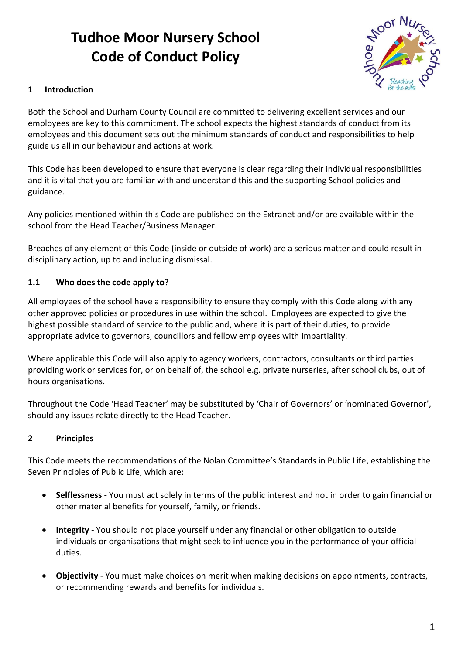# **Tudhoe Moor Nursery School Code of Conduct Policy**



### **1 Introduction**

Both the School and Durham County Council are committed to delivering excellent services and our employees are key to this commitment. The school expects the highest standards of conduct from its employees and this document sets out the minimum standards of conduct and responsibilities to help guide us all in our behaviour and actions at work.

This Code has been developed to ensure that everyone is clear regarding their individual responsibilities and it is vital that you are familiar with and understand this and the supporting School policies and guidance.

Any policies mentioned within this Code are published on the Extranet and/or are available within the school from the Head Teacher/Business Manager.

Breaches of any element of this Code (inside or outside of work) are a serious matter and could result in disciplinary action, up to and including dismissal.

#### **1.1 Who does the code apply to?**

All employees of the school have a responsibility to ensure they comply with this Code along with any other approved policies or procedures in use within the school. Employees are expected to give the highest possible standard of service to the public and, where it is part of their duties, to provide appropriate advice to governors, councillors and fellow employees with impartiality.

Where applicable this Code will also apply to agency workers, contractors, consultants or third parties providing work or services for, or on behalf of, the school e.g. private nurseries, after school clubs, out of hours organisations.

Throughout the Code 'Head Teacher' may be substituted by 'Chair of Governors' or 'nominated Governor', should any issues relate directly to the Head Teacher.

#### **2 Principles**

This Code meets the recommendations of the Nolan Committee's Standards in Public Life, establishing the Seven Principles of Public Life, which are:

- **Selflessness**  You must act solely in terms of the public interest and not in order to gain financial or other material benefits for yourself, family, or friends.
- **Integrity**  You should not place yourself under any financial or other obligation to outside individuals or organisations that might seek to influence you in the performance of your official duties.
- **Objectivity**  You must make choices on merit when making decisions on appointments, contracts, or recommending rewards and benefits for individuals.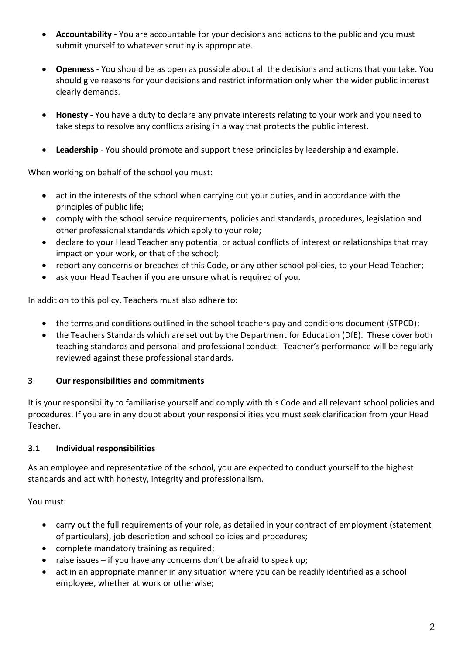- **Accountability**  You are accountable for your decisions and actions to the public and you must submit yourself to whatever scrutiny is appropriate.
- **Openness**  You should be as open as possible about all the decisions and actions that you take. You should give reasons for your decisions and restrict information only when the wider public interest clearly demands.
- **Honesty**  You have a duty to declare any private interests relating to your work and you need to take steps to resolve any conflicts arising in a way that protects the public interest.
- **Leadership**  You should promote and support these principles by leadership and example.

When working on behalf of the school you must:

- act in the interests of the school when carrying out your duties, and in accordance with the principles of public life;
- comply with the school service requirements, policies and standards, procedures, legislation and other professional standards which apply to your role;
- declare to your Head Teacher any potential or actual conflicts of interest or relationships that may impact on your work, or that of the school;
- report any concerns or breaches of this Code, or any other school policies, to your Head Teacher;
- ask your Head Teacher if you are unsure what is required of you.

In addition to this policy, Teachers must also adhere to:

- the terms and conditions outlined in the school teachers pay and conditions document (STPCD);
- the Teachers Standards which are set out by the Department for Education (DfE). These cover both teaching standards and personal and professional conduct. Teacher's performance will be regularly reviewed against these professional standards.

#### **3 Our responsibilities and commitments**

It is your responsibility to familiarise yourself and comply with this Code and all relevant school policies and procedures. If you are in any doubt about your responsibilities you must seek clarification from your Head Teacher.

#### **3.1 Individual responsibilities**

As an employee and representative of the school, you are expected to conduct yourself to the highest standards and act with honesty, integrity and professionalism.

- carry out the full requirements of your role, as detailed in your contract of employment (statement of particulars), job description and school policies and procedures;
- complete mandatory training as required;
- raise issues  $-$  if you have any concerns don't be afraid to speak up;
- act in an appropriate manner in any situation where you can be readily identified as a school employee, whether at work or otherwise;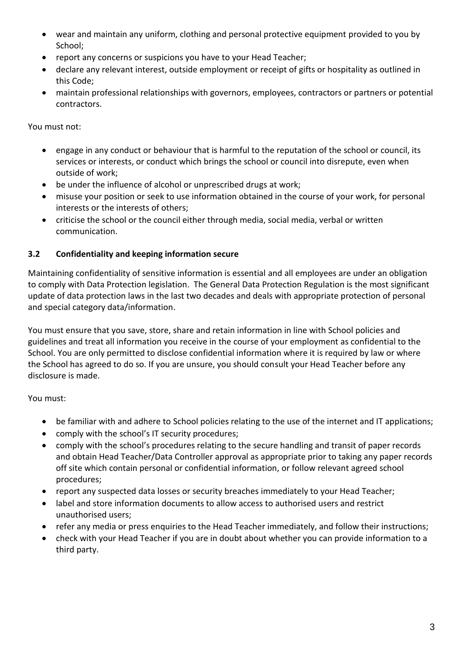- wear and maintain any uniform, clothing and personal protective equipment provided to you by School;
- report any concerns or suspicions you have to your Head Teacher;
- declare any relevant interest, outside employment or receipt of gifts or hospitality as outlined in this Code;
- maintain professional relationships with governors, employees, contractors or partners or potential contractors.

You must not:

- engage in any conduct or behaviour that is harmful to the reputation of the school or council, its services or interests, or conduct which brings the school or council into disrepute, even when outside of work;
- be under the influence of alcohol or unprescribed drugs at work;
- misuse your position or seek to use information obtained in the course of your work, for personal interests or the interests of others;
- criticise the school or the council either through media, social media, verbal or written communication.

#### **3.2 Confidentiality and keeping information secure**

Maintaining confidentiality of sensitive information is essential and all employees are under an obligation to comply with Data Protection legislation. The General Data Protection Regulation is the most significant update of data protection laws in the last two decades and deals with appropriate protection of personal and special category data/information.

You must ensure that you save, store, share and retain information in line with School policies and guidelines and treat all information you receive in the course of your employment as confidential to the School. You are only permitted to disclose confidential information where it is required by law or where the School has agreed to do so. If you are unsure, you should consult your Head Teacher before any disclosure is made.

- be familiar with and adhere to School policies relating to the use of the internet and IT applications;
- comply with the school's IT security procedures;
- comply with the school's procedures relating to the secure handling and transit of paper records and obtain Head Teacher/Data Controller approval as appropriate prior to taking any paper records off site which contain personal or confidential information, or follow relevant agreed school procedures;
- report any suspected data losses or security breaches immediately to your Head Teacher;
- label and store information documents to allow access to authorised users and restrict unauthorised users;
- refer any media or press enquiries to the Head Teacher immediately, and follow their instructions;
- check with your Head Teacher if you are in doubt about whether you can provide information to a third party.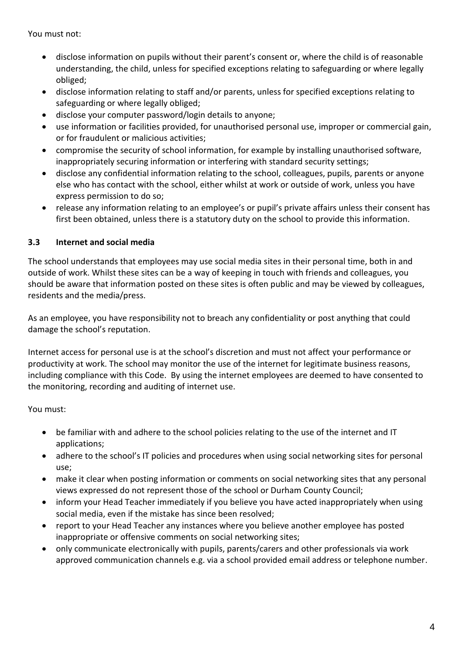You must not:

- disclose information on pupils without their parent's consent or, where the child is of reasonable understanding, the child, unless for specified exceptions relating to safeguarding or where legally obliged;
- disclose information relating to staff and/or parents, unless for specified exceptions relating to safeguarding or where legally obliged;
- disclose your computer password/login details to anyone;
- use information or facilities provided, for unauthorised personal use, improper or commercial gain, or for fraudulent or malicious activities;
- compromise the security of school information, for example by installing unauthorised software, inappropriately securing information or interfering with standard security settings;
- disclose any confidential information relating to the school, colleagues, pupils, parents or anyone else who has contact with the school, either whilst at work or outside of work, unless you have express permission to do so;
- release any information relating to an employee's or pupil's private affairs unless their consent has first been obtained, unless there is a statutory duty on the school to provide this information.

#### **3.3 Internet and social media**

The school understands that employees may use social media sites in their personal time, both in and outside of work. Whilst these sites can be a way of keeping in touch with friends and colleagues, you should be aware that information posted on these sites is often public and may be viewed by colleagues, residents and the media/press.

As an employee, you have responsibility not to breach any confidentiality or post anything that could damage the school's reputation.

Internet access for personal use is at the school's discretion and must not affect your performance or productivity at work. The school may monitor the use of the internet for legitimate business reasons, including compliance with this Code. By using the internet employees are deemed to have consented to the monitoring, recording and auditing of internet use.

- be familiar with and adhere to the school policies relating to the use of the internet and IT applications;
- adhere to the school's IT policies and procedures when using social networking sites for personal use;
- make it clear when posting information or comments on social networking sites that any personal views expressed do not represent those of the school or Durham County Council;
- inform your Head Teacher immediately if you believe you have acted inappropriately when using social media, even if the mistake has since been resolved;
- report to your Head Teacher any instances where you believe another employee has posted inappropriate or offensive comments on social networking sites;
- only communicate electronically with pupils, parents/carers and other professionals via work approved communication channels e.g. via a school provided email address or telephone number.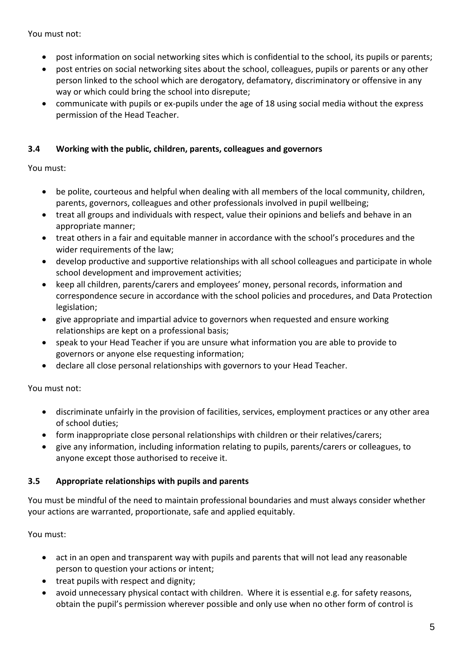You must not:

- post information on social networking sites which is confidential to the school, its pupils or parents;
- post entries on social networking sites about the school, colleagues, pupils or parents or any other person linked to the school which are derogatory, defamatory, discriminatory or offensive in any way or which could bring the school into disrepute;
- communicate with pupils or ex-pupils under the age of 18 using social media without the express permission of the Head Teacher.

#### **3.4 Working with the public, children, parents, colleagues and governors**

You must:

- be polite, courteous and helpful when dealing with all members of the local community, children, parents, governors, colleagues and other professionals involved in pupil wellbeing;
- treat all groups and individuals with respect, value their opinions and beliefs and behave in an appropriate manner;
- treat others in a fair and equitable manner in accordance with the school's procedures and the wider requirements of the law;
- develop productive and supportive relationships with all school colleagues and participate in whole school development and improvement activities;
- keep all children, parents/carers and employees' money, personal records, information and correspondence secure in accordance with the school policies and procedures, and Data Protection legislation;
- give appropriate and impartial advice to governors when requested and ensure working relationships are kept on a professional basis;
- speak to your Head Teacher if you are unsure what information you are able to provide to governors or anyone else requesting information;
- declare all close personal relationships with governors to your Head Teacher.

You must not:

- discriminate unfairly in the provision of facilities, services, employment practices or any other area of school duties;
- form inappropriate close personal relationships with children or their relatives/carers;
- give any information, including information relating to pupils, parents/carers or colleagues, to anyone except those authorised to receive it.

#### **3.5 Appropriate relationships with pupils and parents**

You must be mindful of the need to maintain professional boundaries and must always consider whether your actions are warranted, proportionate, safe and applied equitably.

- act in an open and transparent way with pupils and parents that will not lead any reasonable person to question your actions or intent;
- treat pupils with respect and dignity;
- avoid unnecessary physical contact with children. Where it is essential e.g. for safety reasons, obtain the pupil's permission wherever possible and only use when no other form of control is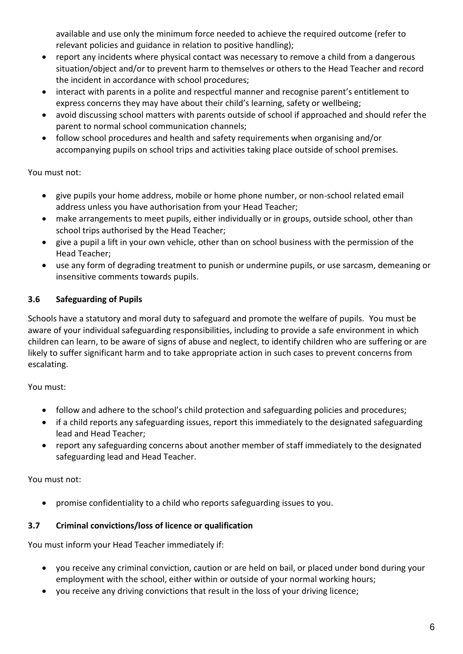available and use only the minimum force needed to achieve the required outcome (refer to relevant policies and guidance in relation to positive handling);

- report any incidents where physical contact was necessary to remove a child from a dangerous situation/object and/or to prevent harm to themselves or others to the Head Teacher and record the incident in accordance with school procedures;
- interact with parents in a polite and respectful manner and recognise parent's entitlement to express concerns they may have about their child's learning, safety or wellbeing;
- avoid discussing school matters with parents outside of school if approached and should refer the parent to normal school communication channels;
- follow school procedures and health and safety requirements when organising and/or accompanying pupils on school trips and activities taking place outside of school premises.

#### You must not:

- give pupils your home address, mobile or home phone number, or non-school related email address unless you have authorisation from your Head Teacher;
- make arrangements to meet pupils, either individually or in groups, outside school, other than school trips authorised by the Head Teacher;
- give a pupil a lift in your own vehicle, other than on school business with the permission of the Head Teacher;
- use any form of degrading treatment to punish or undermine pupils, or use sarcasm, demeaning or insensitive comments towards pupils.

## **3.6 Safeguarding of Pupils**

Schools have a statutory and moral duty to safeguard and promote the welfare of pupils. You must be aware of your individual safeguarding responsibilities, including to provide a safe environment in which children can learn, to be aware of signs of abuse and neglect, to identify children who are suffering or are likely to suffer significant harm and to take appropriate action in such cases to prevent concerns from escalating.

#### You must:

- follow and adhere to the school's child protection and safeguarding policies and procedures;
- if a child reports any safeguarding issues, report this immediately to the designated safeguarding lead and Head Teacher;
- report any safeguarding concerns about another member of staff immediately to the designated safeguarding lead and Head Teacher.

#### You must not:

promise confidentiality to a child who reports safeguarding issues to you.

#### **3.7 Criminal convictions/loss of licence or qualification**

You must inform your Head Teacher immediately if:

- you receive any criminal conviction, caution or are held on bail, or placed under bond during your employment with the school, either within or outside of your normal working hours;
- you receive any driving convictions that result in the loss of your driving licence;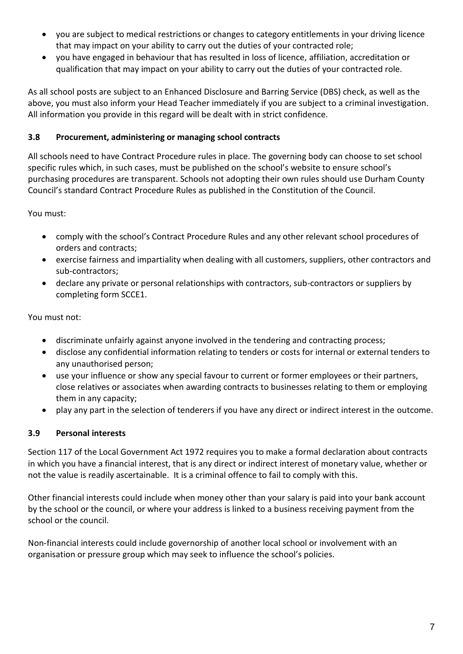- you are subject to medical restrictions or changes to category entitlements in your driving licence that may impact on your ability to carry out the duties of your contracted role;
- you have engaged in behaviour that has resulted in loss of licence, affiliation, accreditation or qualification that may impact on your ability to carry out the duties of your contracted role.

As all school posts are subject to an Enhanced Disclosure and Barring Service (DBS) check, as well as the above, you must also inform your Head Teacher immediately if you are subject to a criminal investigation. All information you provide in this regard will be dealt with in strict confidence.

### **3.8 Procurement, administering or managing school contracts**

All schools need to have Contract Procedure rules in place. The governing body can choose to set school specific rules which, in such cases, must be published on the school's website to ensure school's purchasing procedures are transparent. Schools not adopting their own rules should use Durham County Council's standard Contract Procedure Rules as published in the Constitution of the Council.

You must:

- comply with the school's Contract Procedure Rules and any other relevant school procedures of orders and contracts;
- exercise fairness and impartiality when dealing with all customers, suppliers, other contractors and sub-contractors;
- declare any private or personal relationships with contractors, sub-contractors or suppliers by completing form SCCE1.

You must not:

- discriminate unfairly against anyone involved in the tendering and contracting process;
- disclose any confidential information relating to tenders or costs for internal or external tenders to any unauthorised person;
- use your influence or show any special favour to current or former employees or their partners, close relatives or associates when awarding contracts to businesses relating to them or employing them in any capacity;
- play any part in the selection of tenderers if you have any direct or indirect interest in the outcome.

## **3.9 Personal interests**

Section 117 of the Local Government Act 1972 requires you to make a formal declaration about contracts in which you have a financial interest, that is any direct or indirect interest of monetary value, whether or not the value is readily ascertainable. It is a criminal offence to fail to comply with this.

Other financial interests could include when money other than your salary is paid into your bank account by the school or the council, or where your address is linked to a business receiving payment from the school or the council.

Non-financial interests could include governorship of another local school or involvement with an organisation or pressure group which may seek to influence the school's policies.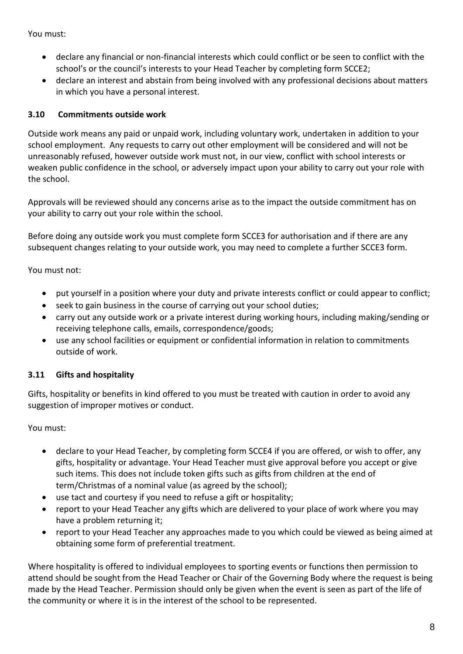You must:

- declare any financial or non-financial interests which could conflict or be seen to conflict with the school's or the council's interests to your Head Teacher by completing form SCCE2;
- declare an interest and abstain from being involved with any professional decisions about matters in which you have a personal interest.

#### **3.10 Commitments outside work**

Outside work means any paid or unpaid work, including voluntary work, undertaken in addition to your school employment. Any requests to carry out other employment will be considered and will not be unreasonably refused, however outside work must not, in our view, conflict with school interests or weaken public confidence in the school, or adversely impact upon your ability to carry out your role with the school.

Approvals will be reviewed should any concerns arise as to the impact the outside commitment has on your ability to carry out your role within the school.

Before doing any outside work you must complete form SCCE3 for authorisation and if there are any subsequent changes relating to your outside work, you may need to complete a further SCCE3 form.

You must not:

- put yourself in a position where your duty and private interests conflict or could appear to conflict;
- seek to gain business in the course of carrying out your school duties;
- carry out any outside work or a private interest during working hours, including making/sending or receiving telephone calls, emails, correspondence/goods;
- use any school facilities or equipment or confidential information in relation to commitments outside of work.

#### **3.11 Gifts and hospitality**

Gifts, hospitality or benefits in kind offered to you must be treated with caution in order to avoid any suggestion of improper motives or conduct.

You must:

- declare to your Head Teacher, by completing form SCCE4 if you are offered, or wish to offer, any gifts, hospitality or advantage. Your Head Teacher must give approval before you accept or give such items. This does not include token gifts such as gifts from children at the end of term/Christmas of a nominal value (as agreed by the school);
- use tact and courtesy if you need to refuse a gift or hospitality;
- report to your Head Teacher any gifts which are delivered to your place of work where you may have a problem returning it;
- report to your Head Teacher any approaches made to you which could be viewed as being aimed at obtaining some form of preferential treatment.

Where hospitality is offered to individual employees to sporting events or functions then permission to attend should be sought from the Head Teacher or Chair of the Governing Body where the request is being made by the Head Teacher. Permission should only be given when the event is seen as part of the life of the community or where it is in the interest of the school to be represented.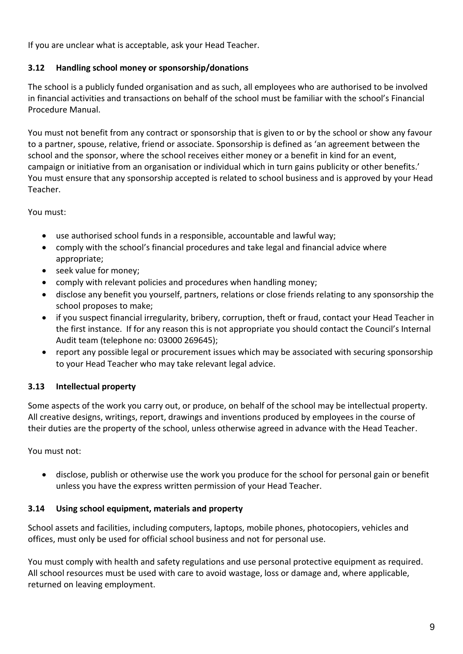If you are unclear what is acceptable, ask your Head Teacher.

### **3.12 Handling school money or sponsorship/donations**

The school is a publicly funded organisation and as such, all employees who are authorised to be involved in financial activities and transactions on behalf of the school must be familiar with the school's Financial Procedure Manual.

You must not benefit from any contract or sponsorship that is given to or by the school or show any favour to a partner, spouse, relative, friend or associate. Sponsorship is defined as 'an agreement between the school and the sponsor, where the school receives either money or a benefit in kind for an event, campaign or initiative from an organisation or individual which in turn gains publicity or other benefits.' You must ensure that any sponsorship accepted is related to school business and is approved by your Head Teacher.

You must:

- use authorised school funds in a responsible, accountable and lawful way;
- comply with the school's financial procedures and take legal and financial advice where appropriate;
- seek value for money;
- comply with relevant policies and procedures when handling money;
- disclose any benefit you yourself, partners, relations or close friends relating to any sponsorship the school proposes to make;
- if you suspect financial irregularity, bribery, corruption, theft or fraud, contact your Head Teacher in the first instance. If for any reason this is not appropriate you should contact the Council's Internal Audit team (telephone no: 03000 269645);
- report any possible legal or procurement issues which may be associated with securing sponsorship to your Head Teacher who may take relevant legal advice.

#### **3.13 Intellectual property**

Some aspects of the work you carry out, or produce, on behalf of the school may be intellectual property. All creative designs, writings, report, drawings and inventions produced by employees in the course of their duties are the property of the school, unless otherwise agreed in advance with the Head Teacher.

You must not:

 disclose, publish or otherwise use the work you produce for the school for personal gain or benefit unless you have the express written permission of your Head Teacher.

#### **3.14 Using school equipment, materials and property**

School assets and facilities, including computers, laptops, mobile phones, photocopiers, vehicles and offices, must only be used for official school business and not for personal use.

You must comply with health and safety regulations and use personal protective equipment as required. All school resources must be used with care to avoid wastage, loss or damage and, where applicable, returned on leaving employment.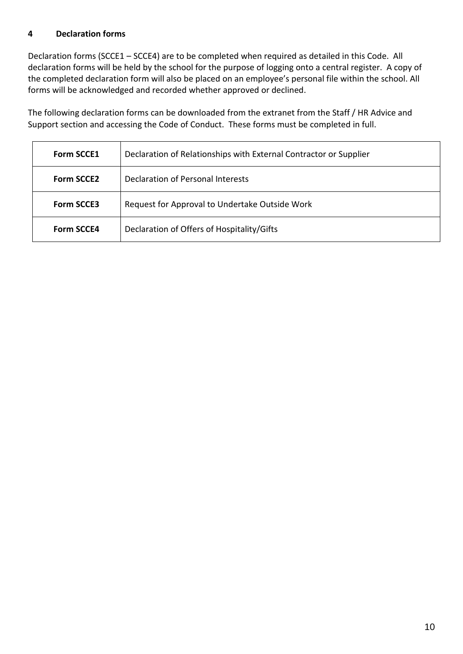#### **4 Declaration forms**

Declaration forms (SCCE1 – SCCE4) are to be completed when required as detailed in this Code. All declaration forms will be held by the school for the purpose of logging onto a central register. A copy of the completed declaration form will also be placed on an employee's personal file within the school. All forms will be acknowledged and recorded whether approved or declined.

The following declaration forms can be downloaded from the extranet from the Staff / HR Advice and Support section and accessing the Code of Conduct. These forms must be completed in full.

| <b>Form SCCE1</b> | Declaration of Relationships with External Contractor or Supplier |  |
|-------------------|-------------------------------------------------------------------|--|
| <b>Form SCCE2</b> | Declaration of Personal Interests                                 |  |
| <b>Form SCCE3</b> | Request for Approval to Undertake Outside Work                    |  |
| <b>Form SCCE4</b> | Declaration of Offers of Hospitality/Gifts                        |  |